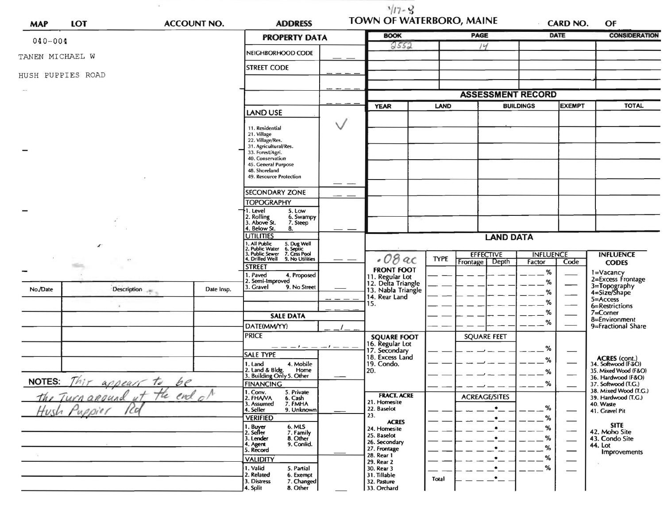| <b>MAP</b>      | <b>LOT</b>                                                  | <b>ACCOUNT NO.</b> | <b>ADDRESS</b>                                                                                                                                                       |             | $3/17 - 3$<br><b>TOWN OF WATERBORO, MAINE</b>                                       |             |                                      |                                 | <b>CARD NO.</b>                                               | OF                                                                                                              |
|-----------------|-------------------------------------------------------------|--------------------|----------------------------------------------------------------------------------------------------------------------------------------------------------------------|-------------|-------------------------------------------------------------------------------------|-------------|--------------------------------------|---------------------------------|---------------------------------------------------------------|-----------------------------------------------------------------------------------------------------------------|
| $040 - 004$     |                                                             |                    | <b>PROPERTY DATA</b>                                                                                                                                                 |             | <b>BOOK</b>                                                                         |             | <b>PAGE</b>                          | <b>DATE</b>                     |                                                               | <b>CONSIDERATION</b>                                                                                            |
| TANEN MICHAEL W |                                                             |                    | NEIGHBORHOOD CODE                                                                                                                                                    |             | 9552                                                                                |             | 14                                   |                                 |                                                               |                                                                                                                 |
|                 | HUSH PUPPIES ROAD                                           |                    | <b>STREET CODE</b>                                                                                                                                                   |             |                                                                                     |             |                                      |                                 |                                                               |                                                                                                                 |
|                 |                                                             |                    |                                                                                                                                                                      |             |                                                                                     |             | <b>ASSESSMENT RECORD</b>             |                                 |                                                               |                                                                                                                 |
|                 |                                                             | LAND USE           |                                                                                                                                                                      | <b>YEAR</b> | <b>LAND</b>                                                                         |             | <b>BUILDINGS</b><br><b>EXEMPT</b>    |                                 | <b>TOTAL</b>                                                  |                                                                                                                 |
|                 |                                                             |                    | 11. Residential<br>21. Village<br>22. Village/Res.<br>31. Agricultural/Res.<br>33. Forest/Agri.<br>40. Conservation<br>45. General Purpose<br>48. Shoreland          |             |                                                                                     |             |                                      |                                 |                                                               |                                                                                                                 |
|                 |                                                             |                    | 49. Resource Protection                                                                                                                                              |             |                                                                                     |             |                                      |                                 |                                                               |                                                                                                                 |
|                 |                                                             |                    | <b>SECONDARY ZONE</b><br><b>TOPOGRAPHY</b><br>5. Low<br>. Level<br>2. Rolling<br>3. Above St.<br>6. Swampy<br>7. Steep<br>4. Below St.<br>8.                         |             |                                                                                     |             |                                      |                                 |                                                               |                                                                                                                 |
|                 | H.                                                          | <b>UTILITIES</b>   | <b>LAND DATA</b>                                                                                                                                                     |             |                                                                                     |             |                                      |                                 |                                                               |                                                                                                                 |
|                 |                                                             |                    | 1. All Public 5. Dug Well<br>2. Public Water 6. Septic<br>3. Public Sewer 7. Cess Pool<br>4. Drilled Well 9. No Utilities<br><b>STREET</b><br>. Paved<br>4. Proposed |             | $.08$ ac<br><b>FRONT FOOT</b>                                                       | <b>TYPE</b> | <b>EFFECTIVE</b><br>Frontage   Depth | <b>INFLUENCE</b><br>Factor<br>% | Code                                                          | <b>INFLUENCE</b><br><b>CODES</b><br>1=Vacancy                                                                   |
| No./Date        | Description                                                 | Date Insp.         | 2. Semi-Improved<br>3. Gravel<br>9. No Street                                                                                                                        |             | 11. Regular Lot<br>12. Delta Triangle<br>13. Nabla Triangle<br>14. Rear Land<br>15. |             |                                      | %<br>%<br>%                     | 2=Excess Frontage<br>3=Topography<br>4=Size/Shape<br>5=Access |                                                                                                                 |
|                 |                                                             |                    | <b>SALE DATA</b><br>DATE(MM/YY)                                                                                                                                      |             |                                                                                     |             |                                      | %<br>%                          |                                                               | 6=Restrictions<br>7=Corner<br>8=Environment<br>9=Fractional Share                                               |
|                 |                                                             |                    | <b>PRICE</b><br><b>SALE TYPE</b>                                                                                                                                     |             | <b>SQUARE FOOT</b><br>16. Regular Lot<br>17. Secondary<br>18. Excess Land           |             | <b>SQUARE FEET</b>                   | %                               |                                                               |                                                                                                                 |
| <b>NOTES:</b>   | $\sim$<br>Thir appear to                                    | be                 | 4. Mobile<br>1. Land<br>2. Land & Bldg. Home<br>3. Building Only 5. Other<br>Home<br><b>FINANCING</b>                                                                |             | 19. Condo.<br>20.                                                                   |             |                                      | $\%$<br>%<br>%                  |                                                               | <b>ACRES</b> (cont.)<br>34. Softwood (F&O)<br>35. Mixed Wood (F&O)<br>36. Hardwood (F&O)<br>37. Softwood (T.G.) |
|                 | Turn around ut the end of<br>tush Puppier<br>$^{\prime}$ CO |                    | 1. Conv.<br>5. Private<br>2. FHAVA<br>6. Cash<br>7. FMHA<br>3. Assumed<br>4. Seller<br>9. Unknown<br><b>VERIFIED</b>                                                 |             | <b>FRACT. ACRE</b><br>21. Homesite<br>22. Baselot<br>23.<br><b>ACRES</b>            |             | <b>ACREAGE/SITES</b><br>۰            | %<br>%                          |                                                               | 38. Mixed Wood (T.G.)<br>39. Hardwood (T.C.)<br>40. Waste<br>41. Gravel Pit                                     |
|                 |                                                             |                    | 6. MLS<br>1. Buyer<br>2. Seller<br>7. Family<br>3. Lender<br>8. Other<br>9. Confid.<br>4. Agent<br>5. Record                                                         |             | 24. Homesite<br>25. Baselot<br>26. Secondary<br>27. Frontage<br>28. Rear 1          |             | $\bullet$                            | %<br>%<br>%<br>%                | $\overbrace{\phantom{aaaaa}}$                                 | <b>SITE</b><br>42. Moho Site<br>43. Condo Site<br>44. Lot<br>Improvements                                       |
|                 |                                                             |                    | <b>VALIDITY</b><br>1. Valid<br>5. Partial<br>2. Related<br>6. Exempt<br>3. Distress<br>7. Changed<br>8. Other<br>4. Split                                            |             | 29. Rear 2<br>30. Rear 3<br>31. Tillable<br>32. Pasture<br>33. Orchard              | Total       | $\bullet_-$                          | %                               |                                                               |                                                                                                                 |